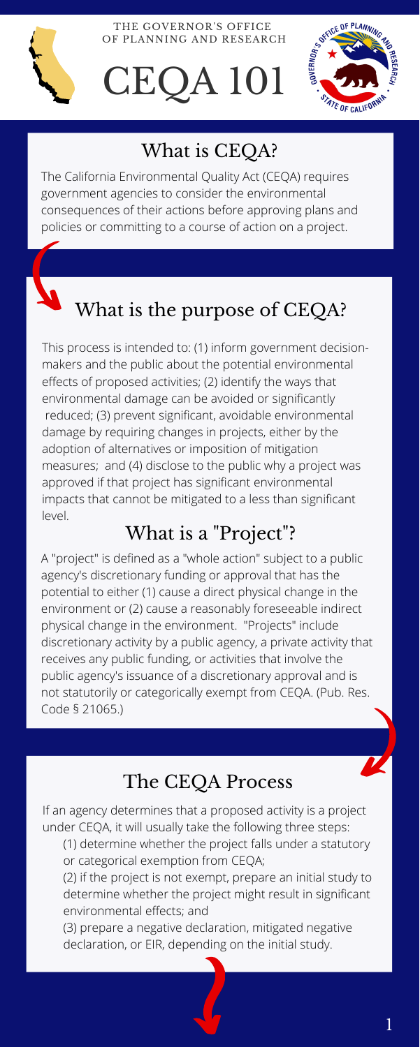The California Environmental Quality Act (CEQA) requires government agencies to consider the environmental consequences of their actions before approving plans and policies or committing to a course of action on a project.



This process is intended to: (1) inform government decisionmakers and the public about the potential environmental effects of proposed activities; (2) identify the ways that environmental damage can be avoided or significantly reduced; (3) prevent significant, avoidable environmental damage by requiring changes in projects, either by the adoption of alternatives or imposition of mitigation measures; and (4) disclose to the public why a project was approved if that project has significant environmental impacts that cannot be mitigated to a less than significant level.

If an agency determines that a proposed activity is a project under CEQA, it will usually take the following three steps:

- (1) determine whether the project falls under a statutory or categorical exemption from CEQA;
- (2) if the project is not exempt, prepare an initial study to determine whether the project might result in significant environmental effects; and

(3) prepare a negative declaration, mitigated negative declaration, or EIR, depending on the initial study.



THE GOVERNOR'S OFFICE OF PLANNING AND RESEARCH

# CEQA 101



# What is CEQA?

# What is the purpose of CEQA?

## The CEQA Process

1

## What is a "Project"?

A "project" is defined as a "whole action" subject to a public agency's discretionary funding or approval that has the potential to either (1) cause a direct physical change in the environment or (2) cause a reasonably foreseeable indirect physical change in the environment. "Projects" include discretionary activity by a public agency, a private activity that receives any public funding, or activities that involve the public agency's issuance of a discretionary approval and is not statutorily or categorically exempt from CEQA. (Pub. Res. Code § 21065.)

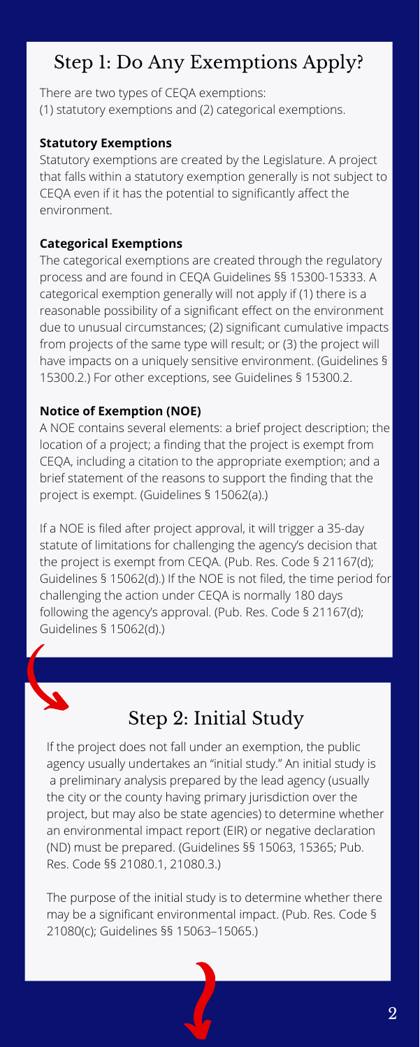# Step 1: Do Any Exemptions Apply?

There are two types of CEQA exemptions: (1) statutory exemptions and (2) categorical exemptions.

#### **Statutory Exemptions**

Statutory exemptions are created by the Legislature. A project that falls within a statutory exemption generally is not subject to CEQA even if it has the potential to significantly affect the environment.

#### **Categorical Exemptions**

The categorical exemptions are created through the regulatory process and are found in CEQA Guidelines §§ 15300-15333. A categorical exemption generally will not apply if (1) there is a reasonable possibility of a significant effect on the environment due to unusual circumstances; (2) significant cumulative impacts from projects of the same type will result; or (3) the project will have impacts on a uniquely sensitive environment. (Guidelines § 15300.2.) For other exceptions, see Guidelines § 15300.2.

#### **Notice of Exemption (NOE)**

A NOE contains several elements: a brief project description; the location of a project; a finding that the project is exempt from CEQA, including a citation to the appropriate exemption; and a brief statement of the reasons to support the finding that the project is exempt. (Guidelines § 15062(a).)

If a NOE is filed after project approval, it will trigger a 35-day statute of limitations for challenging the agency's decision that the project is exempt from CEQA. (Pub. Res. Code § 21167(d); Guidelines § 15062(d).) If the NOE is not filed, the time period for challenging the action under CEQA is normally 180 days following the agency's approval. (Pub. Res. Code § 21167(d); Guidelines § 15062(d).)



## Step 2: Initial Study

If the project does not fall under an exemption, the public agency usually undertakes an "initial study." An initial study is a preliminary analysis prepared by the lead agency (usually the city or the county having primary jurisdiction over the project, but may also be state agencies) to determine whether an environmental impact report (EIR) or negative declaration (ND) must be prepared. (Guidelines §§ 15063, 15365; Pub. Res. Code §§ 21080.1, 21080.3.)

The purpose of the initial study is to determine whether there may be a significant environmental impact. (Pub. Res. Code § 21080(c); Guidelines §§ 15063–15065.)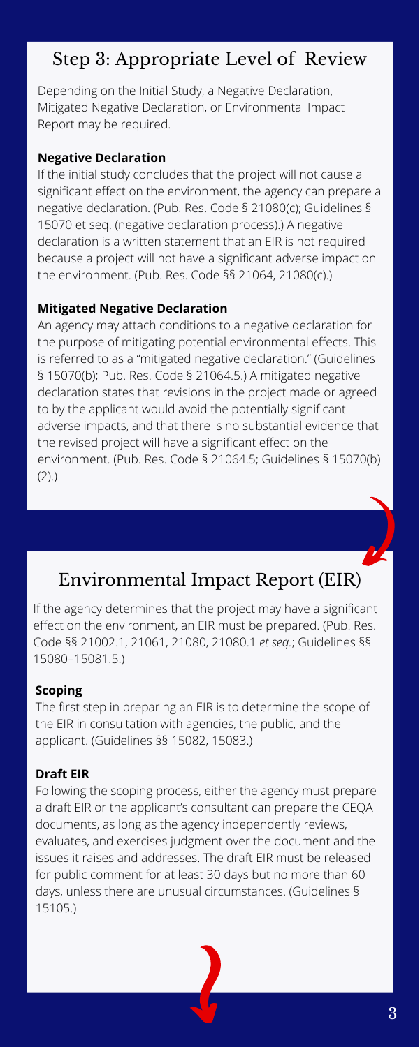Depending on the Initial Study, a Negative Declaration, Mitigated Negative Declaration, or Environmental Impact Report may be required.

#### **Negative Declaration**

If the initial study concludes that the project will not cause a significant effect on the environment, the agency can prepare a negative declaration. (Pub. Res. Code § 21080(c); Guidelines § 15070 et seq. (negative declaration process).) A negative declaration is a written statement that an EIR is not required because a project will not have a significant adverse impact on the environment. (Pub. Res. Code §§ 21064, 21080(c).)

#### **Mitigated Negative Declaration**

An agency may attach conditions to a negative declaration for the purpose of mitigating potential environmental effects. This is referred to as a "mitigated negative declaration." (Guidelines § 15070(b); Pub. Res. Code § 21064.5.) A mitigated negative declaration states that revisions in the project made or agreed to by the applicant would avoid the potentially significant adverse impacts, and that there is no substantial evidence that the revised project will have a significant effect on the environment. (Pub. Res. Code § 21064.5; Guidelines § 15070(b) (2).)

### Step 3: Appropriate Level of Review

# Environmental Impact Report (EIR)

If the agency determines that the project may have a significant effect on the environment, an EIR must be prepared. (Pub. Res. Code §§ 21002.1, 21061, 21080, 21080.1 *et seq.*; Guidelines §§ 15080–15081.5.)

#### **Scoping**

The first step in preparing an EIR is to determine the scope of the EIR in consultation with agencies, the public, and the applicant. (Guidelines §§ 15082, 15083.)

#### **Draft EIR**

Following the scoping process, either the agency must prepare a draft EIR or the applicant's consultant can prepare the CEQA documents, as long as the agency independently reviews, evaluates, and exercises judgment over the document and the issues it raises and addresses. The draft EIR must be released for public comment for at least 30 days but no more than 60 days, unless there are unusual circumstances. (Guidelines § 15105.)

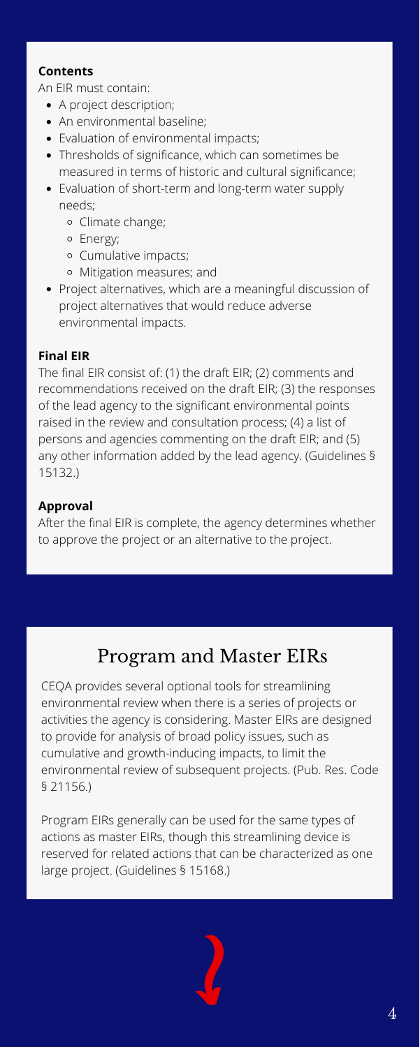- A project description;
- An environmental baseline;
- Evaluation of environmental impacts;
- Thresholds of significance, which can sometimes be measured in terms of historic and cultural significance;
- Evaluation of short-term and long-term water supply needs;
	- Climate change;
	- Energy;
	- Cumulative impacts;
	- Mitigation measures; and
- Project alternatives, which are a meaningful discussion of project alternatives that would reduce adverse environmental impacts.

#### **Contents**

An EIR must contain:

#### **Final EIR**

The final EIR consist of: (1) the draft EIR; (2) comments and recommendations received on the draft EIR; (3) the responses of the lead agency to the significant environmental points raised in the review and consultation process; (4) a list of persons and agencies commenting on the draft EIR; and (5) any other information added by the lead agency. (Guidelines § 15132.)

#### **Approval**

After the final EIR is complete, the agency determines whether to approve the project or an alternative to the project.

CEQA provides several optional tools for streamlining environmental review when there is a series of projects or activities the agency is considering. Master EIRs are designed to provide for analysis of broad policy issues, such as cumulative and growth-inducing impacts, to limit the environmental review of subsequent projects. (Pub. Res. Code § 21156.)

Program EIRs generally can be used for the same types of actions as master EIRs, though this streamlining device is reserved for related actions that can be characterized as one large project. (Guidelines § 15168.)



## Program and Master EIRs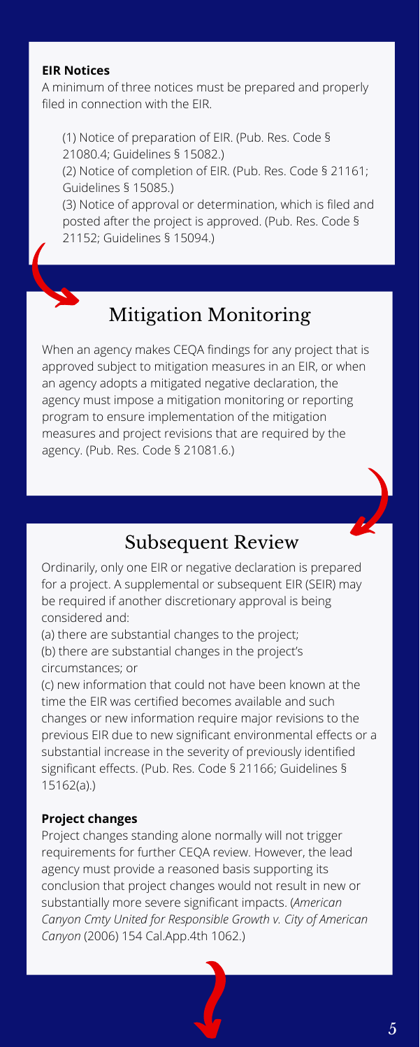#### **EIR Notices**

A minimum of three notices must be prepared and properly filed in connection with the EIR.

(1) Notice of preparation of EIR. (Pub. Res. Code §

21080.4; Guidelines § 15082.)

(2) Notice of completion of EIR. (Pub. Res. Code § 21161; Guidelines § 15085.)

(3) Notice of approval or determination, which is filed and posted after the project is approved. (Pub. Res. Code § 21152; Guidelines § 15094.)

## Subsequent Review

Ordinarily, only one EIR or negative declaration is prepared for a project. A supplemental or subsequent EIR (SEIR) may be required if another discretionary approval is being considered and:

(a) there are substantial changes to the project; (b) there are substantial changes in the project's circumstances; or

(c) new information that could not have been known at the time the EIR was certified becomes available and such changes or new information require major revisions to the previous EIR due to new significant environmental effects or a substantial increase in the severity of previously identified significant effects. (Pub. Res. Code § 21166; Guidelines § 15162(a).)

#### **Project changes**

Project changes standing alone normally will not trigger requirements for further CEQA review. However, the lead agency must provide a reasoned basis supporting its conclusion that project changes would not result in new or substantially more severe significant impacts. (*American Canyon Cmty United for Responsible Growth v. City of American Canyon* (2006) 154 Cal.App.4th 1062.)

When an agency makes CEQA findings for any project that is approved subject to mitigation measures in an EIR, or when an agency adopts a mitigated negative declaration, the agency must impose a mitigation monitoring or reporting program to ensure implementation of the mitigation measures and project revisions that are required by the agency. (Pub. Res. Code § 21081.6.)

# Mitigation Monitoring